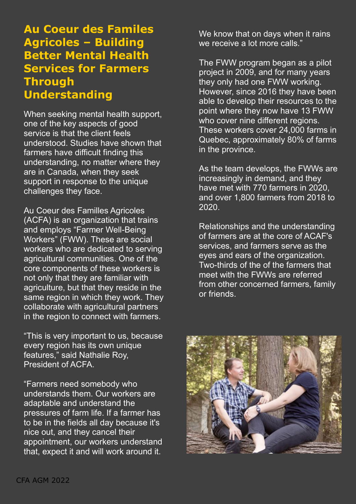## **Au Coeur des Familes Agricoles – Building Better Mental Health Services for Farmers Through Understanding**

When seeking mental health support, one of the key aspects of good service is that the client feels understood. Studies have shown that farmers have difficult finding this understanding, no matter where they are in Canada, when they seek support in response to the unique challenges they face.

Au Coeur des Familles Agricoles (ACFA) is an organization that trains and employs "Farmer Well-Being Workers" (FWW). These are social workers who are dedicated to serving agricultural communities. One of the core components of these workers is not only that they are familiar with agriculture, but that they reside in the same region in which they work. They collaborate with agricultural partners in the region to connect with farmers.

"This is very important to us, because every region has its own unique features," said Nathalie Roy, President of ACFA.

"Farmers need somebody who understands them. Our workers are adaptable and understand the pressures of farm life. If a farmer has to be in the fields all day because it's nice out, and they cancel their appointment, our workers understand that, expect it and will work around it.

We know that on days when it rains we receive a lot more calls."

The FWW program began as a pilot project in 2009, and for many years they only had one FWW working. However, since 2016 they have been able to develop their resources to the point where they now have 13 FWW who cover nine different regions. These workers cover 24,000 farms in Quebec, approximately 80% of farms in the province.

As the team develops, the FWWs are increasingly in demand, and they have met with 770 farmers in 2020, and over 1,800 farmers from 2018 to 2020.

Relationships and the understanding of farmers are at the core of ACAF's services, and farmers serve as the eyes and ears of the organization. Two-thirds of the of the farmers that meet with the FWWs are referred from other concerned farmers, family or friends.